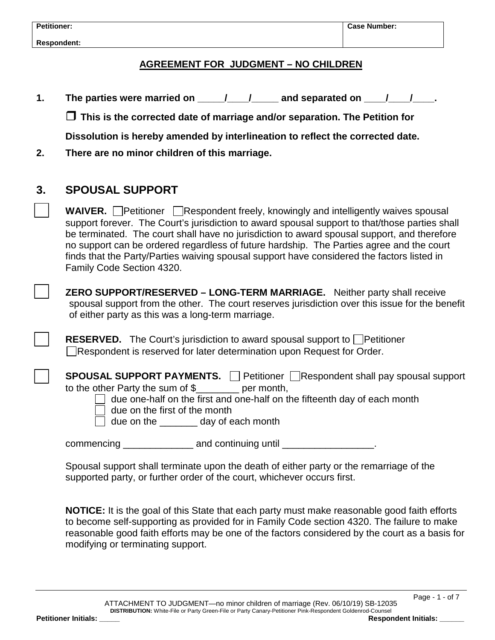**Respondent:** 

#### **AGREEMENT FOR JUDGMENT – NO CHILDREN**

**1.** The parties were married on \_\_\_\_\_/\_\_\_\_/\_\_\_\_\_ and separated on \_\_\_\_/\_\_\_\_/\_\_\_\_.

**This is the corrected date of marriage and/or separation. The Petition for** 

**Dissolution is hereby amended by interlineation to reflect the corrected date.**

**2. There are no minor children of this marriage.**

## **3. SPOUSAL SUPPORT**

**WAIVER.** Petitioner Respondent freely, knowingly and intelligently waives spousal support forever. The Court's jurisdiction to award spousal support to that/those parties shall be terminated. The court shall have no jurisdiction to award spousal support, and therefore no support can be ordered regardless of future hardship. The Parties agree and the court finds that the Party/Parties waiving spousal support have considered the factors listed in Family Code Section 4320.

 **ZERO SUPPORT/RESERVED – LONG-TERM MARRIAGE.** Neither party shall receive spousal support from the other. The court reserves jurisdiction over this issue for the benefit of either party as this was a long-term marriage.

**RESERVED.** The Court's jurisdiction to award spousal support to Petitioner Respondent is reserved for later determination upon Request for Order.

**SPOUSAL SUPPORT PAYMENTS. Petitioner Respondent shall pay spousal support** to the other Party the sum of \$\_\_\_\_\_\_\_\_ per month,

due one-half on the first and one-half on the fifteenth day of each month

due on the first of the month

due on the \_\_\_\_\_\_\_ day of each month

commencing \_\_\_\_\_\_\_\_\_\_\_\_\_\_\_\_\_ and continuing until \_\_\_\_\_\_\_\_\_\_\_\_\_\_\_\_\_\_\_\_\_\_\_\_\_\_\_\_\_\_

Spousal support shall terminate upon the death of either party or the remarriage of the supported party, or further order of the court, whichever occurs first.

**NOTICE:** It is the goal of this State that each party must make reasonable good faith efforts to become self-supporting as provided for in Family Code section 4320. The failure to make reasonable good faith efforts may be one of the factors considered by the court as a basis for modifying or terminating support.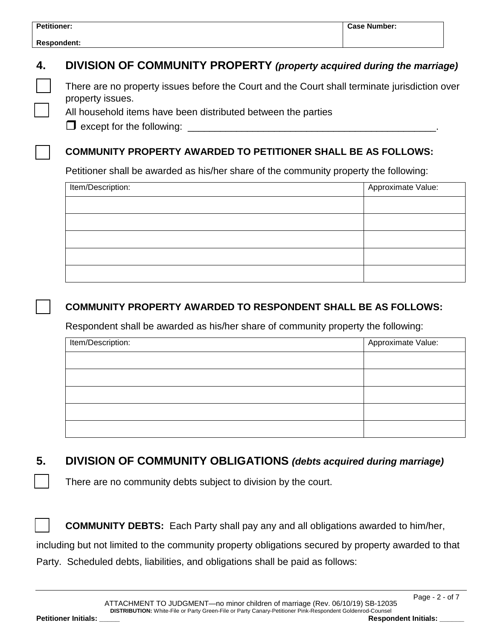| <b>Petitioner:</b> | <b>Case Number:</b> |
|--------------------|---------------------|
| <b>Respondent:</b> |                     |
|                    |                     |

## **4. DIVISION OF COMMUNITY PROPERTY** *(property acquired during the marriage)*

 There are no property issues before the Court and the Court shall terminate jurisdiction over property issues.

All household items have been distributed between the parties

 $\Box$  except for the following:

### **COMMUNITY PROPERTY AWARDED TO PETITIONER SHALL BE AS FOLLOWS:**

Petitioner shall be awarded as his/her share of the community property the following:

| Item/Description: | Approximate Value: |
|-------------------|--------------------|
|                   |                    |
|                   |                    |
|                   |                    |
|                   |                    |
|                   |                    |

### **COMMUNITY PROPERTY AWARDED TO RESPONDENT SHALL BE AS FOLLOWS:**

Respondent shall be awarded as his/her share of community property the following:

| Item/Description: | Approximate Value: |
|-------------------|--------------------|
|                   |                    |
|                   |                    |
|                   |                    |
|                   |                    |
|                   |                    |

## **5. DIVISION OF COMMUNITY OBLIGATIONS** *(debts acquired during marriage)*

There are no community debts subject to division by the court.

**COMMUNITY DEBTS:** Each Party shall pay any and all obligations awarded to him/her,

including but not limited to the community property obligations secured by property awarded to that Party. Scheduled debts, liabilities, and obligations shall be paid as follows: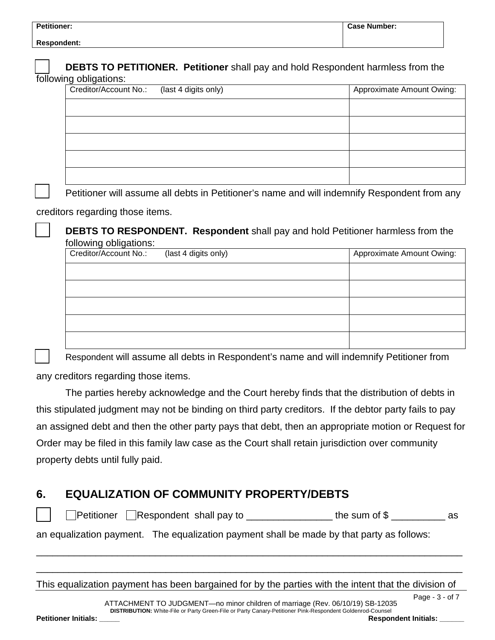| <b>Petitioner:</b> |                                                                                        | <b>Case Number:</b> |
|--------------------|----------------------------------------------------------------------------------------|---------------------|
| <b>Respondent:</b> |                                                                                        |                     |
|                    | <b>DEBTS TO PETITIONER. Petitioner</b> shall pay and hold Respondent harmless from the |                     |

|  |  | following obligations: |
|--|--|------------------------|
|--|--|------------------------|

| Creditor/Account No.: (last 4 digits only) | Approximate Amount Owing: |
|--------------------------------------------|---------------------------|
|                                            |                           |
|                                            |                           |
|                                            |                           |
|                                            |                           |
|                                            |                           |
|                                            |                           |

Petitioner will assume all debts in Petitioner's name and will indemnify Respondent from any

#### creditors regarding those items.

 **DEBTS TO RESPONDENT. Respondent** shall pay and hold Petitioner harmless from the following obligations:

| Creditor/Account No.: | (last 4 digits only) | Approximate Amount Owing: |
|-----------------------|----------------------|---------------------------|
|                       |                      |                           |
|                       |                      |                           |
|                       |                      |                           |
|                       |                      |                           |
|                       |                      |                           |

Respondent will assume all debts in Respondent's name and will indemnify Petitioner from

any creditors regarding those items.

The parties hereby acknowledge and the Court hereby finds that the distribution of debts in this stipulated judgment may not be binding on third party creditors. If the debtor party fails to pay an assigned debt and then the other party pays that debt, then an appropriate motion or Request for Order may be filed in this family law case as the Court shall retain jurisdiction over community property debts until fully paid.

## **6. EQUALIZATION OF COMMUNITY PROPERTY/DEBTS**

 $\Box$  Petitioner  $\Box$  Respondent shall pay to  $\Box$  \_\_\_\_\_\_\_\_\_\_\_\_\_\_\_\_\_\_ the sum of  $\Im$   $\Box$  \_\_\_\_\_\_\_\_\_\_\_\_\_\_\_ as

an equalization payment. The equalization payment shall be made by that party as follows:

This equalization payment has been bargained for by the parties with the intent that the division of

\_\_\_\_\_\_\_\_\_\_\_\_\_\_\_\_\_\_\_\_\_\_\_\_\_\_\_\_\_\_\_\_\_\_\_\_\_\_\_\_\_\_\_\_\_\_\_\_\_\_\_\_\_\_\_\_\_\_\_\_\_\_\_\_\_\_\_\_\_\_\_\_\_\_\_\_\_\_\_

\_\_\_\_\_\_\_\_\_\_\_\_\_\_\_\_\_\_\_\_\_\_\_\_\_\_\_\_\_\_\_\_\_\_\_\_\_\_\_\_\_\_\_\_\_\_\_\_\_\_\_\_\_\_\_\_\_\_\_\_\_\_\_\_\_\_\_\_\_\_\_\_\_\_\_\_\_\_\_

Page - 3 - of 7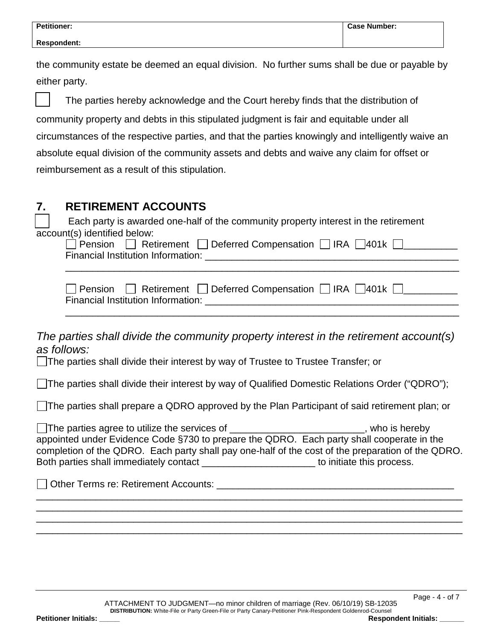the community estate be deemed an equal division. No further sums shall be due or payable by either party.

| The parties hereby acknowledge and the Court hereby finds that the distribution of                 |
|----------------------------------------------------------------------------------------------------|
| community property and debts in this stipulated judgment is fair and equitable under all           |
| circumstances of the respective parties, and that the parties knowingly and intelligently waive an |
| absolute equal division of the community assets and debts and waive any claim for offset or        |
| reimbursement as a result of this stipulation.                                                     |

# **7. RETIREMENT ACCOUNTS** Each party is awarded one-half of the community property interest in the retirement account(s) identified below:  $\Box$  Pension  $\Box$  Retirement  $\Box$  Deferred Compensation  $\Box$  IRA  $\Box$ 401k  $\Box$ Financial Institution Information: \_\_\_\_\_\_\_\_\_\_\_\_\_\_\_\_\_\_\_\_\_\_\_\_\_\_\_\_\_\_\_\_\_\_\_\_\_\_\_\_\_\_\_\_\_\_\_ \_\_\_\_\_\_\_\_\_\_\_\_\_\_\_\_\_\_\_\_\_\_\_\_\_\_\_\_\_\_\_\_\_\_\_\_\_\_\_\_\_\_\_\_\_\_\_\_\_\_\_\_\_\_\_\_\_\_\_\_\_\_\_\_\_\_\_\_\_\_\_\_\_  $\Box$  Pension  $\Box$  Retirement  $\Box$  Deferred Compensation  $\Box$  IRA  $\Box$ 401k  $\Box$ Financial Institution Information: \_\_\_\_\_\_\_\_\_\_\_\_\_\_\_\_\_\_\_\_\_\_\_\_\_\_\_\_\_\_\_\_\_\_\_\_\_\_\_\_\_\_\_\_\_\_\_ \_\_\_\_\_\_\_\_\_\_\_\_\_\_\_\_\_\_\_\_\_\_\_\_\_\_\_\_\_\_\_\_\_\_\_\_\_\_\_\_\_\_\_\_\_\_\_\_\_\_\_\_\_\_\_\_\_\_\_\_\_\_\_\_\_\_\_\_\_\_\_\_\_ *The parties shall divide the community property interest in the retirement account(s)*

*as follows:*

The parties shall divide their interest by way of Trustee to Trustee Transfer; or

The parties shall divide their interest by way of Qualified Domestic Relations Order ("QDRO");

The parties shall prepare a QDRO approved by the Plan Participant of said retirement plan; or

The parties agree to utilize the services of \_\_\_\_\_\_\_\_\_\_\_\_\_\_\_\_\_\_\_\_\_\_\_\_\_, who is hereby appointed under Evidence Code §730 to prepare the QDRO. Each party shall cooperate in the completion of the QDRO. Each party shall pay one-half of the cost of the preparation of the QDRO. Both parties shall immediately contact \_\_\_\_\_\_\_\_\_\_\_\_\_\_\_\_\_\_\_\_\_\_\_\_\_\_\_ to initiate this process.

\_\_\_\_\_\_\_\_\_\_\_\_\_\_\_\_\_\_\_\_\_\_\_\_\_\_\_\_\_\_\_\_\_\_\_\_\_\_\_\_\_\_\_\_\_\_\_\_\_\_\_\_\_\_\_\_\_\_\_\_\_\_\_\_\_\_\_\_\_\_\_\_\_\_\_\_\_\_\_ \_\_\_\_\_\_\_\_\_\_\_\_\_\_\_\_\_\_\_\_\_\_\_\_\_\_\_\_\_\_\_\_\_\_\_\_\_\_\_\_\_\_\_\_\_\_\_\_\_\_\_\_\_\_\_\_\_\_\_\_\_\_\_\_\_\_\_\_\_\_\_\_\_\_\_\_\_\_\_ \_\_\_\_\_\_\_\_\_\_\_\_\_\_\_\_\_\_\_\_\_\_\_\_\_\_\_\_\_\_\_\_\_\_\_\_\_\_\_\_\_\_\_\_\_\_\_\_\_\_\_\_\_\_\_\_\_\_\_\_\_\_\_\_\_\_\_\_\_\_\_\_\_\_\_\_\_\_\_ \_\_\_\_\_\_\_\_\_\_\_\_\_\_\_\_\_\_\_\_\_\_\_\_\_\_\_\_\_\_\_\_\_\_\_\_\_\_\_\_\_\_\_\_\_\_\_\_\_\_\_\_\_\_\_\_\_\_\_\_\_\_\_\_\_\_\_\_\_\_\_\_\_\_\_\_\_\_\_

Other Terms re: Retirement Accounts: \_\_\_\_\_\_\_\_\_\_\_\_\_\_\_\_\_\_\_\_\_\_\_\_\_\_\_\_\_\_\_\_\_\_\_\_\_\_\_\_\_\_\_\_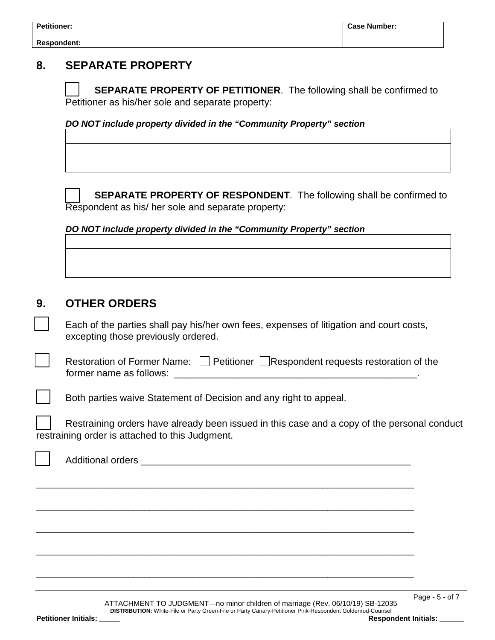## **8. SEPARATE PROPERTY**

 **SEPARATE PROPERTY OF PETITIONER**. The following shall be confirmed to Petitioner as his/her sole and separate property:

*DO NOT include property divided in the "Community Property" section*



 **SEPARATE PROPERTY OF RESPONDENT**. The following shall be confirmed to Respondent as his/ her sole and separate property:

#### *DO NOT include property divided in the "Community Property" section*

### **9. OTHER ORDERS**

 Each of the parties shall pay his/her own fees, expenses of litigation and court costs, excepting those previously ordered.

| Restoration of Former Name: Petitioner Respondent requests restoration of the |
|-------------------------------------------------------------------------------|
| former name as follows:                                                       |

Both parties waive Statement of Decision and any right to appeal.

 Restraining orders have already been issued in this case and a copy of the personal conduct restraining order is attached to this Judgment.

| $\sim$ |  |
|--------|--|
|        |  |
|        |  |
|        |  |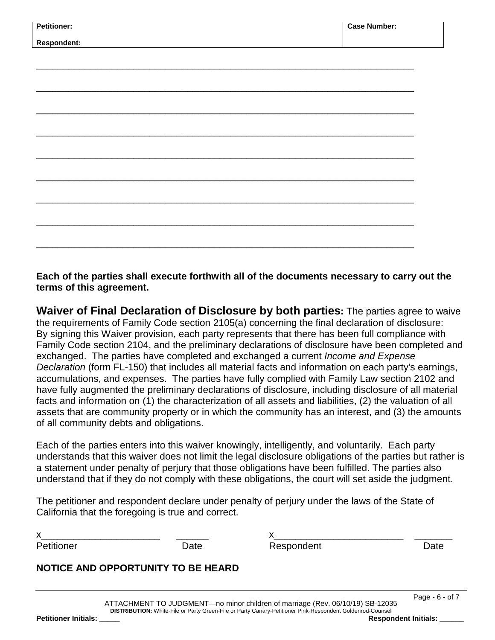| <b>Petitioner:</b> | <b>Case Number:</b> |
|--------------------|---------------------|
|                    |                     |
| Respondent:        |                     |
|                    |                     |
|                    |                     |
|                    |                     |
|                    |                     |
|                    |                     |
|                    |                     |
|                    |                     |
|                    |                     |
|                    |                     |
|                    |                     |
|                    |                     |
|                    |                     |
|                    |                     |
|                    |                     |
|                    |                     |
|                    |                     |
|                    |                     |
|                    |                     |
|                    |                     |
|                    |                     |
|                    |                     |
|                    |                     |
|                    |                     |
|                    |                     |
|                    |                     |
|                    |                     |
|                    |                     |
|                    |                     |
|                    |                     |
|                    |                     |

**Each of the parties shall execute forthwith all of the documents necessary to carry out the terms of this agreement.** 

**Waiver of Final Declaration of Disclosure by both parties:** The parties agree to waive the requirements of Family Code section 2105(a) concerning the final declaration of disclosure: By signing this Waiver provision, each party represents that there has been full compliance with Family Code section 2104, and the preliminary declarations of disclosure have been completed and exchanged. The parties have completed and exchanged a current *Income and Expense Declaration* (form FL-150) that includes all material facts and information on each party's earnings, accumulations, and expenses. The parties have fully complied with Family Law section 2102 and have fully augmented the preliminary declarations of disclosure, including disclosure of all material facts and information on (1) the characterization of all assets and liabilities, (2) the valuation of all assets that are community property or in which the community has an interest, and (3) the amounts of all community debts and obligations.

Each of the parties enters into this waiver knowingly, intelligently, and voluntarily. Each party understands that this waiver does not limit the legal disclosure obligations of the parties but rather is a statement under penalty of perjury that those obligations have been fulfilled. The parties also understand that if they do not comply with these obligations, the court will set aside the judgment.

The petitioner and respondent declare under penalty of perjury under the laws of the State of California that the foregoing is true and correct.

x\_\_\_\_\_\_\_\_\_\_\_\_\_\_\_\_\_\_\_\_\_\_ \_\_\_\_\_\_ x\_\_\_\_\_\_\_\_\_\_\_\_\_\_\_\_\_\_\_\_\_\_\_\_ \_\_\_\_\_\_\_ Petitioner Date Date Respondent Date Date

Page - 6 - of 7

### **NOTICE AND OPPORTUNITY TO BE HEARD**

ATTACHMENT TO JUDGMENT—no minor children of marriage (Rev. 06/10/19) SB-12035 **DISTRIBUTION:** White-File or Party Green-File or Party Canary-Petitioner Pink-Respondent Goldenrod-Counsel **Petitioner Initials: \_\_\_\_\_ Respondent Initials: \_\_\_\_\_\_**